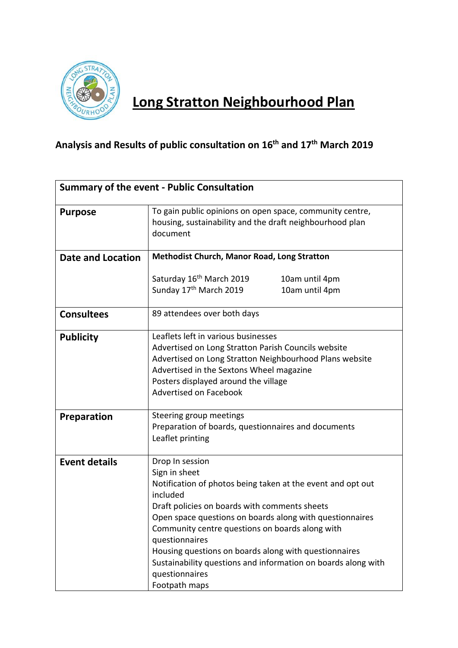

## **Long Stratton Neighbourhood Plan**

## **Analysis and Results of public consultation on 16th and 17th March 2019**

| <b>Summary of the event - Public Consultation</b> |                                                                                                                                                                                                                                                                                                                                                                                                                                                            |  |  |  |
|---------------------------------------------------|------------------------------------------------------------------------------------------------------------------------------------------------------------------------------------------------------------------------------------------------------------------------------------------------------------------------------------------------------------------------------------------------------------------------------------------------------------|--|--|--|
| <b>Purpose</b>                                    | To gain public opinions on open space, community centre,<br>housing, sustainability and the draft neighbourhood plan<br>document                                                                                                                                                                                                                                                                                                                           |  |  |  |
| <b>Date and Location</b>                          | <b>Methodist Church, Manor Road, Long Stratton</b>                                                                                                                                                                                                                                                                                                                                                                                                         |  |  |  |
|                                                   | Saturday 16 <sup>th</sup> March 2019<br>10am until 4pm<br>Sunday 17 <sup>th</sup> March 2019<br>10am until 4pm                                                                                                                                                                                                                                                                                                                                             |  |  |  |
| <b>Consultees</b>                                 | 89 attendees over both days                                                                                                                                                                                                                                                                                                                                                                                                                                |  |  |  |
| <b>Publicity</b>                                  | Leaflets left in various businesses<br>Advertised on Long Stratton Parish Councils website<br>Advertised on Long Stratton Neighbourhood Plans website<br>Advertised in the Sextons Wheel magazine<br>Posters displayed around the village<br>Advertised on Facebook                                                                                                                                                                                        |  |  |  |
| <b>Preparation</b>                                | Steering group meetings<br>Preparation of boards, questionnaires and documents<br>Leaflet printing                                                                                                                                                                                                                                                                                                                                                         |  |  |  |
| <b>Event details</b>                              | Drop In session<br>Sign in sheet<br>Notification of photos being taken at the event and opt out<br>included<br>Draft policies on boards with comments sheets<br>Open space questions on boards along with questionnaires<br>Community centre questions on boards along with<br>questionnaires<br>Housing questions on boards along with questionnaires<br>Sustainability questions and information on boards along with<br>questionnaires<br>Footpath maps |  |  |  |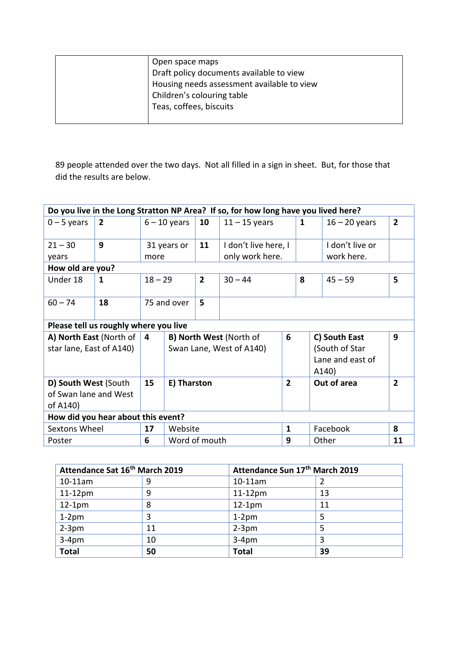| Open space maps<br>Draft policy documents available to view<br>Housing needs assessment available to view<br>Children's colouring table<br>Teas, coffees, biscuits |
|--------------------------------------------------------------------------------------------------------------------------------------------------------------------|
|                                                                                                                                                                    |

89 people attended over the two days. Not all filled in a sign in sheet. But, for those that did the results are below.

| Do you live in the Long Stratton NP Area? If so, for how long have you lived here? |                |                |                          |                |                      |                |   |                  |                |
|------------------------------------------------------------------------------------|----------------|----------------|--------------------------|----------------|----------------------|----------------|---|------------------|----------------|
| $0 - 5$ years                                                                      | $\overline{2}$ | $6 - 10$ years |                          | 10             | $11 - 15$ years      |                | 1 | $16 - 20$ years  | $\overline{2}$ |
| $21 - 30$                                                                          | 9              |                | 31 years or              | 11             | I don't live here, I |                |   | I don't live or  |                |
| years                                                                              |                | more           |                          |                | only work here.      |                |   | work here.       |                |
| How old are you?                                                                   |                |                |                          |                |                      |                |   |                  |                |
| Under 18                                                                           | $\mathbf 1$    | $18 - 29$      |                          | $\overline{2}$ | $30 - 44$            |                | 8 | $45 - 59$        | 5              |
| $60 - 74$                                                                          | 18             | 75 and over    |                          | 5              |                      |                |   |                  |                |
| Please tell us roughly where you live                                              |                |                |                          |                |                      |                |   |                  |                |
| A) North East (North of                                                            |                | 4              | B) North West (North of  |                |                      | 6              |   | C) South East    | 9              |
| star lane, East of A140)                                                           |                |                | Swan Lane, West of A140) |                |                      |                |   | (South of Star   |                |
|                                                                                    |                |                |                          |                |                      |                |   | Lane and east of |                |
|                                                                                    |                |                |                          |                |                      |                |   | A140)            |                |
| D) South West (South                                                               |                | 15             | E) Tharston              |                |                      | $\overline{2}$ |   | Out of area      | $\overline{2}$ |
| of Swan lane and West                                                              |                |                |                          |                |                      |                |   |                  |                |
| of A140)                                                                           |                |                |                          |                |                      |                |   |                  |                |
| How did you hear about this event?                                                 |                |                |                          |                |                      |                |   |                  |                |
| <b>Sextons Wheel</b>                                                               |                | 17             | Website                  |                |                      | $\mathbf{1}$   |   | Facebook         | 8              |
| Poster                                                                             |                | 6              | Word of mouth            |                |                      | 9              |   | Other            | 11             |

| Attendance Sat 16 <sup>th</sup> March 2019 |    | Attendance Sun 17th March 2019 |    |  |
|--------------------------------------------|----|--------------------------------|----|--|
| $10-11$ am                                 |    | 10-11am                        |    |  |
| $11-12$ pm                                 | 9  | $11-12$ pm                     | 13 |  |
| $12-1pm$                                   | 8  | $12-1pm$                       | 11 |  |
| $1-2pm$                                    | 3  | $1-2pm$                        |    |  |
| $2-3pm$                                    | 11 | $2-3$ pm                       |    |  |
| $3-4pm$                                    | 10 | $3-4pm$                        |    |  |
| <b>Total</b>                               | 50 | <b>Total</b>                   | 39 |  |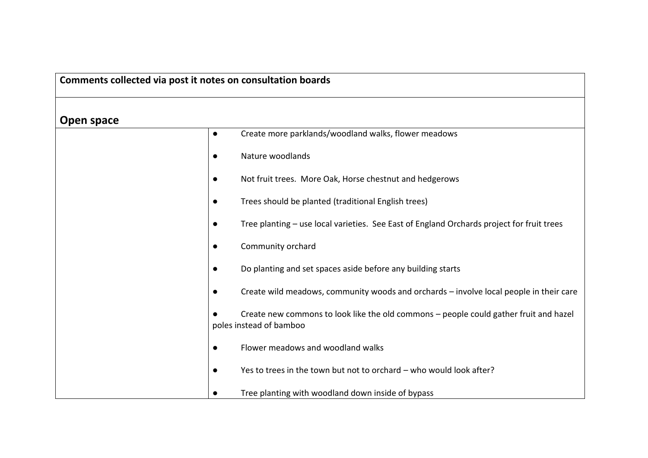## **Comments collected via post it notes on consultation boards**

**Open space**

| Open space |                                                                                                                  |
|------------|------------------------------------------------------------------------------------------------------------------|
| $\bullet$  | Create more parklands/woodland walks, flower meadows                                                             |
| $\bullet$  | Nature woodlands                                                                                                 |
| $\bullet$  | Not fruit trees. More Oak, Horse chestnut and hedgerows                                                          |
| $\bullet$  | Trees should be planted (traditional English trees)                                                              |
| $\bullet$  | Tree planting – use local varieties. See East of England Orchards project for fruit trees                        |
| $\bullet$  | Community orchard                                                                                                |
| $\bullet$  | Do planting and set spaces aside before any building starts                                                      |
| $\bullet$  | Create wild meadows, community woods and orchards – involve local people in their care                           |
|            | Create new commons to look like the old commons - people could gather fruit and hazel<br>poles instead of bamboo |
| $\bullet$  | Flower meadows and woodland walks                                                                                |
| $\bullet$  | Yes to trees in the town but not to orchard - who would look after?                                              |
|            | Tree planting with woodland down inside of bypass                                                                |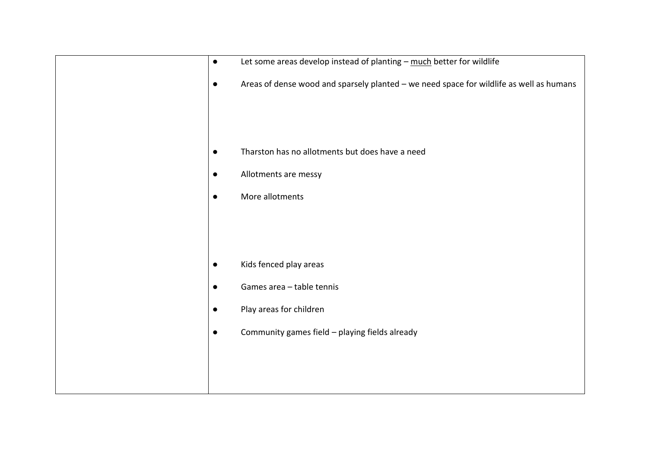| $\bullet$ | Let some areas develop instead of planting - much better for wildlife                   |
|-----------|-----------------------------------------------------------------------------------------|
| $\bullet$ | Areas of dense wood and sparsely planted - we need space for wildlife as well as humans |
|           |                                                                                         |
| $\bullet$ | Tharston has no allotments but does have a need                                         |
| $\bullet$ | Allotments are messy                                                                    |
| $\bullet$ | More allotments                                                                         |
|           |                                                                                         |
|           |                                                                                         |
| $\bullet$ | Kids fenced play areas                                                                  |
| $\bullet$ | Games area - table tennis                                                               |
| $\bullet$ | Play areas for children                                                                 |
| $\bullet$ | Community games field - playing fields already                                          |
|           |                                                                                         |
|           |                                                                                         |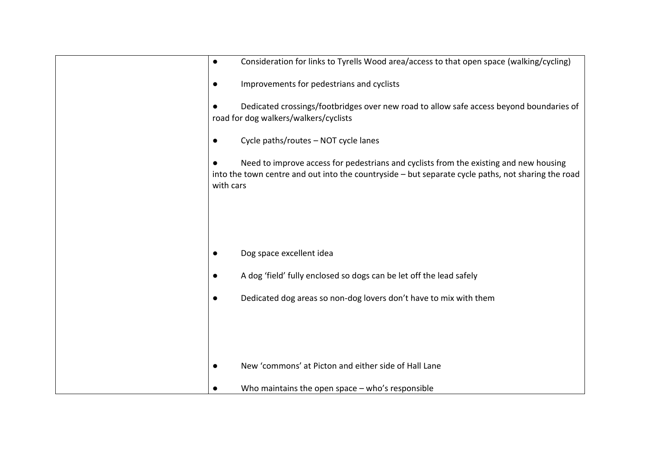| Consideration for links to Tyrells Wood area/access to that open space (walking/cycling)<br>$\bullet$                                                                                                    |
|----------------------------------------------------------------------------------------------------------------------------------------------------------------------------------------------------------|
| Improvements for pedestrians and cyclists<br>$\bullet$                                                                                                                                                   |
| Dedicated crossings/footbridges over new road to allow safe access beyond boundaries of<br>road for dog walkers/walkers/cyclists                                                                         |
| Cycle paths/routes - NOT cycle lanes<br>$\bullet$                                                                                                                                                        |
| Need to improve access for pedestrians and cyclists from the existing and new housing<br>into the town centre and out into the countryside - but separate cycle paths, not sharing the road<br>with cars |
|                                                                                                                                                                                                          |
|                                                                                                                                                                                                          |
| Dog space excellent idea                                                                                                                                                                                 |
| A dog 'field' fully enclosed so dogs can be let off the lead safely                                                                                                                                      |
| Dedicated dog areas so non-dog lovers don't have to mix with them<br>$\bullet$                                                                                                                           |
|                                                                                                                                                                                                          |
|                                                                                                                                                                                                          |
| New 'commons' at Picton and either side of Hall Lane                                                                                                                                                     |
| Who maintains the open space $-$ who's responsible                                                                                                                                                       |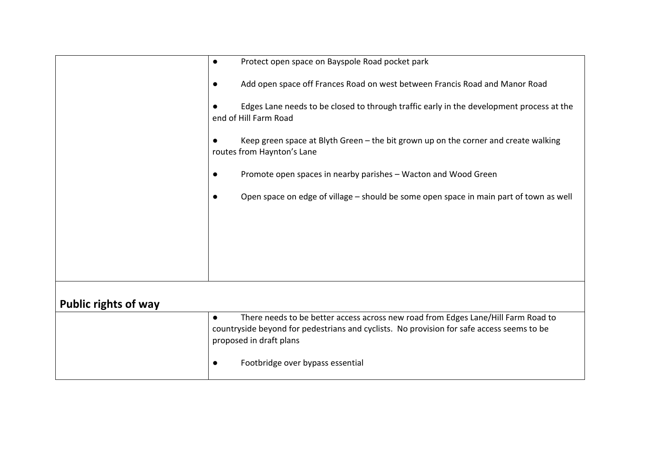|                             | Protect open space on Bayspole Road pocket park<br>$\bullet$                                                                                                                                                           |
|-----------------------------|------------------------------------------------------------------------------------------------------------------------------------------------------------------------------------------------------------------------|
|                             | Add open space off Frances Road on west between Francis Road and Manor Road<br>$\bullet$                                                                                                                               |
|                             | Edges Lane needs to be closed to through traffic early in the development process at the<br>end of Hill Farm Road                                                                                                      |
|                             | Keep green space at Blyth Green - the bit grown up on the corner and create walking<br>routes from Haynton's Lane                                                                                                      |
|                             | Promote open spaces in nearby parishes – Wacton and Wood Green<br>$\bullet$                                                                                                                                            |
|                             | Open space on edge of village - should be some open space in main part of town as well                                                                                                                                 |
|                             |                                                                                                                                                                                                                        |
|                             |                                                                                                                                                                                                                        |
|                             |                                                                                                                                                                                                                        |
| <b>Public rights of way</b> |                                                                                                                                                                                                                        |
|                             | There needs to be better access across new road from Edges Lane/Hill Farm Road to<br>$\bullet$<br>countryside beyond for pedestrians and cyclists. No provision for safe access seems to be<br>proposed in draft plans |
|                             | Footbridge over bypass essential<br>$\bullet$                                                                                                                                                                          |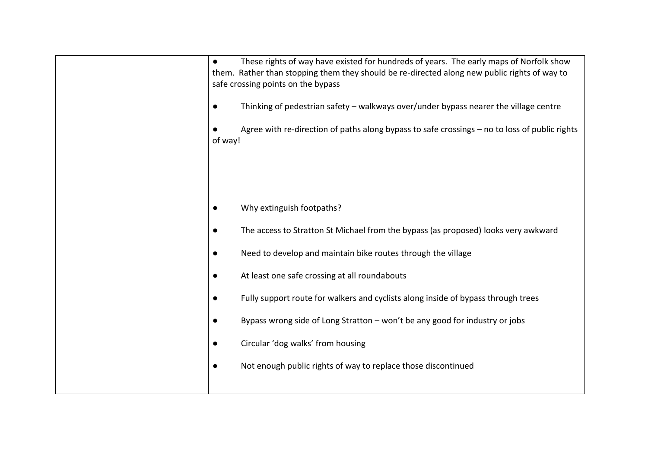| These rights of way have existed for hundreds of years. The early maps of Norfolk show<br>$\bullet$<br>them. Rather than stopping them they should be re-directed along new public rights of way to<br>safe crossing points on the bypass<br>Thinking of pedestrian safety - walkways over/under bypass nearer the village centre<br>$\bullet$<br>Agree with re-direction of paths along bypass to safe crossings - no to loss of public rights<br>of way! |
|------------------------------------------------------------------------------------------------------------------------------------------------------------------------------------------------------------------------------------------------------------------------------------------------------------------------------------------------------------------------------------------------------------------------------------------------------------|
| Why extinguish footpaths?                                                                                                                                                                                                                                                                                                                                                                                                                                  |
| The access to Stratton St Michael from the bypass (as proposed) looks very awkward                                                                                                                                                                                                                                                                                                                                                                         |
| Need to develop and maintain bike routes through the village<br>$\bullet$                                                                                                                                                                                                                                                                                                                                                                                  |
| At least one safe crossing at all roundabouts<br>$\bullet$                                                                                                                                                                                                                                                                                                                                                                                                 |
| Fully support route for walkers and cyclists along inside of bypass through trees                                                                                                                                                                                                                                                                                                                                                                          |
| Bypass wrong side of Long Stratton - won't be any good for industry or jobs                                                                                                                                                                                                                                                                                                                                                                                |
| Circular 'dog walks' from housing                                                                                                                                                                                                                                                                                                                                                                                                                          |
| Not enough public rights of way to replace those discontinued                                                                                                                                                                                                                                                                                                                                                                                              |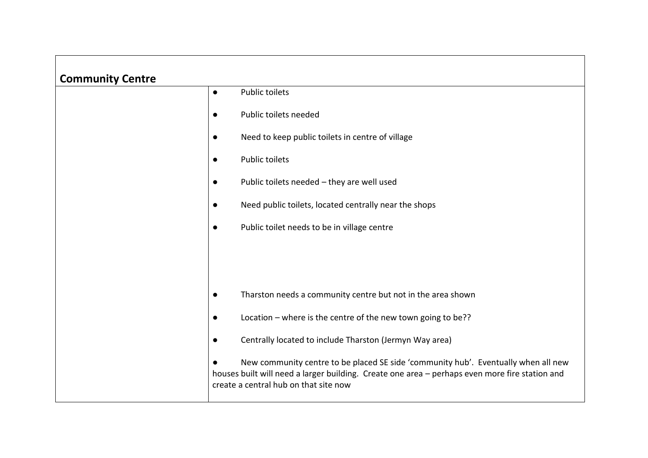| <b>Community Centre</b> |           |                                                                                                                                                                                                                               |
|-------------------------|-----------|-------------------------------------------------------------------------------------------------------------------------------------------------------------------------------------------------------------------------------|
|                         | $\bullet$ | <b>Public toilets</b>                                                                                                                                                                                                         |
|                         | $\bullet$ | Public toilets needed                                                                                                                                                                                                         |
|                         | $\bullet$ | Need to keep public toilets in centre of village                                                                                                                                                                              |
|                         | $\bullet$ | <b>Public toilets</b>                                                                                                                                                                                                         |
|                         | $\bullet$ | Public toilets needed - they are well used                                                                                                                                                                                    |
|                         | $\bullet$ | Need public toilets, located centrally near the shops                                                                                                                                                                         |
|                         | $\bullet$ | Public toilet needs to be in village centre                                                                                                                                                                                   |
|                         |           |                                                                                                                                                                                                                               |
|                         |           |                                                                                                                                                                                                                               |
|                         | $\bullet$ | Tharston needs a community centre but not in the area shown                                                                                                                                                                   |
|                         | $\bullet$ | Location - where is the centre of the new town going to be??                                                                                                                                                                  |
|                         | $\bullet$ | Centrally located to include Tharston (Jermyn Way area)                                                                                                                                                                       |
|                         |           | New community centre to be placed SE side 'community hub'. Eventually when all new<br>houses built will need a larger building. Create one area - perhaps even more fire station and<br>create a central hub on that site now |

 $\mathbf{r}$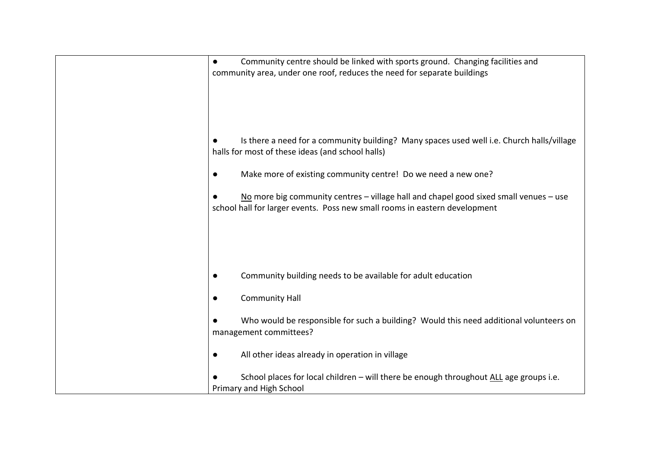| Community centre should be linked with sports ground. Changing facilities and<br>$\bullet$<br>community area, under one roof, reduces the need for separate buildings |
|-----------------------------------------------------------------------------------------------------------------------------------------------------------------------|
| Is there a need for a community building? Many spaces used well i.e. Church halls/village<br>halls for most of these ideas (and school halls)                         |
| Make more of existing community centre! Do we need a new one?<br>$\bullet$                                                                                            |
| No more big community centres – village hall and chapel good sixed small venues – use<br>school hall for larger events. Poss new small rooms in eastern development   |
|                                                                                                                                                                       |
| Community building needs to be available for adult education<br>$\bullet$                                                                                             |
| <b>Community Hall</b><br>$\bullet$                                                                                                                                    |
| Who would be responsible for such a building? Would this need additional volunteers on<br>management committees?                                                      |
| All other ideas already in operation in village<br>$\bullet$                                                                                                          |
| School places for local children - will there be enough throughout ALL age groups i.e.<br>Primary and High School                                                     |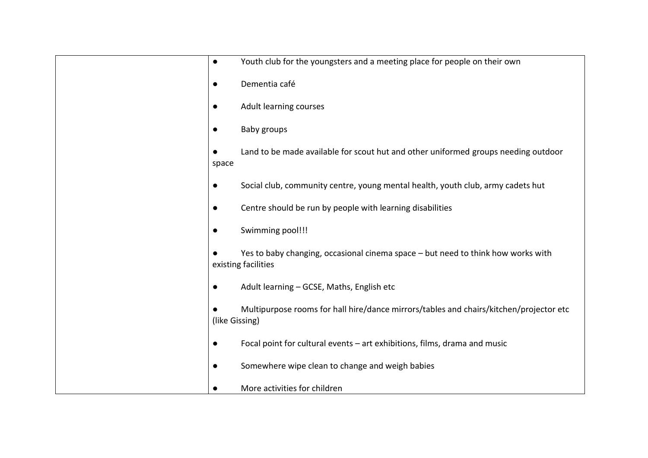| $\bullet$ | Youth club for the youngsters and a meeting place for people on their own                                |
|-----------|----------------------------------------------------------------------------------------------------------|
| $\bullet$ | Dementia café                                                                                            |
| $\bullet$ | Adult learning courses                                                                                   |
|           | Baby groups                                                                                              |
|           | Land to be made available for scout hut and other uniformed groups needing outdoor<br>space              |
|           | Social club, community centre, young mental health, youth club, army cadets hut                          |
| $\bullet$ | Centre should be run by people with learning disabilities                                                |
|           | Swimming pool!!!                                                                                         |
|           | Yes to baby changing, occasional cinema space - but need to think how works with<br>existing facilities  |
| $\bullet$ | Adult learning - GCSE, Maths, English etc                                                                |
|           | Multipurpose rooms for hall hire/dance mirrors/tables and chairs/kitchen/projector etc<br>(like Gissing) |
| $\bullet$ | Focal point for cultural events - art exhibitions, films, drama and music                                |
| $\bullet$ | Somewhere wipe clean to change and weigh babies                                                          |
|           | More activities for children                                                                             |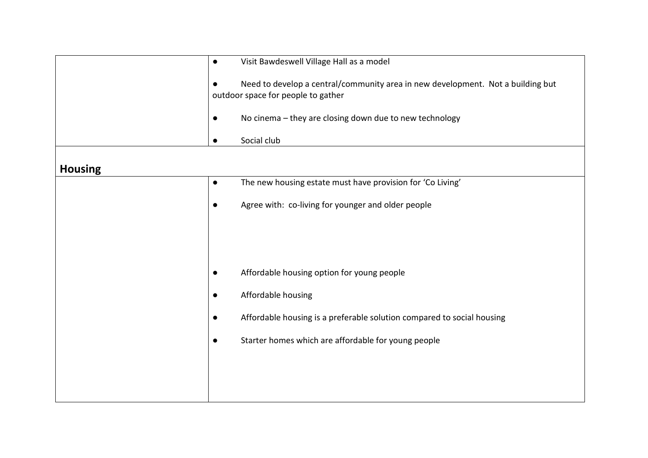|                | $\bullet$ | Visit Bawdeswell Village Hall as a model                                                                              |
|----------------|-----------|-----------------------------------------------------------------------------------------------------------------------|
|                | $\bullet$ | Need to develop a central/community area in new development. Not a building but<br>outdoor space for people to gather |
|                | $\bullet$ | No cinema - they are closing down due to new technology                                                               |
|                | $\bullet$ | Social club                                                                                                           |
| <b>Housing</b> |           |                                                                                                                       |
|                | $\bullet$ | The new housing estate must have provision for 'Co Living'                                                            |
|                | $\bullet$ | Agree with: co-living for younger and older people                                                                    |
|                |           |                                                                                                                       |
|                |           |                                                                                                                       |
|                | $\bullet$ | Affordable housing option for young people                                                                            |
|                | $\bullet$ | Affordable housing                                                                                                    |
|                | $\bullet$ | Affordable housing is a preferable solution compared to social housing                                                |
|                | $\bullet$ | Starter homes which are affordable for young people                                                                   |
|                |           |                                                                                                                       |
|                |           |                                                                                                                       |
|                |           |                                                                                                                       |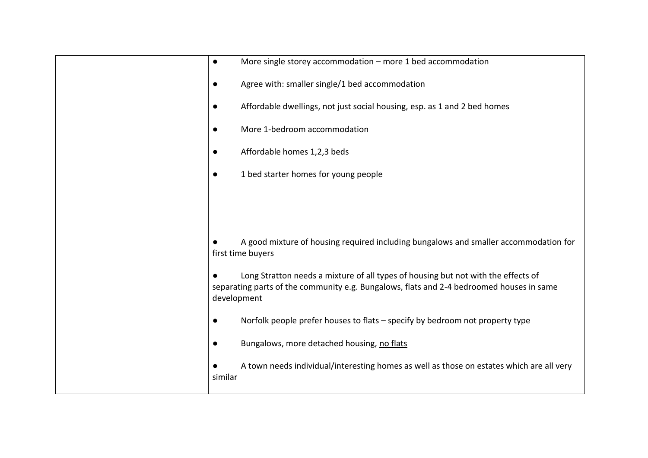| More single storey accommodation $-$ more 1 bed accommodation<br>$\bullet$                                                                                                                   |
|----------------------------------------------------------------------------------------------------------------------------------------------------------------------------------------------|
| Agree with: smaller single/1 bed accommodation<br>$\bullet$                                                                                                                                  |
| Affordable dwellings, not just social housing, esp. as 1 and 2 bed homes<br>$\bullet$                                                                                                        |
| More 1-bedroom accommodation                                                                                                                                                                 |
| Affordable homes 1,2,3 beds                                                                                                                                                                  |
| 1 bed starter homes for young people                                                                                                                                                         |
|                                                                                                                                                                                              |
|                                                                                                                                                                                              |
| A good mixture of housing required including bungalows and smaller accommodation for<br>first time buyers                                                                                    |
| Long Stratton needs a mixture of all types of housing but not with the effects of<br>separating parts of the community e.g. Bungalows, flats and 2-4 bedroomed houses in same<br>development |
| Norfolk people prefer houses to flats - specify by bedroom not property type<br>$\bullet$                                                                                                    |
| Bungalows, more detached housing, no flats<br>$\bullet$                                                                                                                                      |
| A town needs individual/interesting homes as well as those on estates which are all very<br>similar                                                                                          |
|                                                                                                                                                                                              |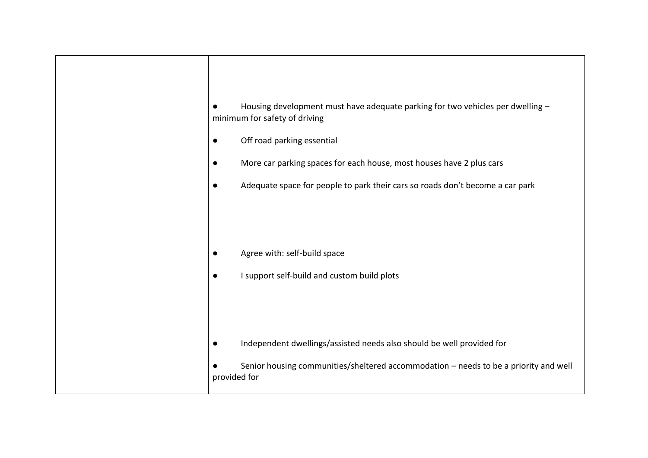| Housing development must have adequate parking for two vehicles per dwelling -<br>minimum for safety of driving<br>Off road parking essential<br>$\bullet$<br>More car parking spaces for each house, most houses have 2 plus cars<br>$\bullet$<br>Adequate space for people to park their cars so roads don't become a car park<br>$\bullet$ |
|-----------------------------------------------------------------------------------------------------------------------------------------------------------------------------------------------------------------------------------------------------------------------------------------------------------------------------------------------|
| Agree with: self-build space<br>I support self-build and custom build plots<br>$\bullet$                                                                                                                                                                                                                                                      |
| Independent dwellings/assisted needs also should be well provided for<br>$\bullet$<br>Senior housing communities/sheltered accommodation - needs to be a priority and well<br>provided for                                                                                                                                                    |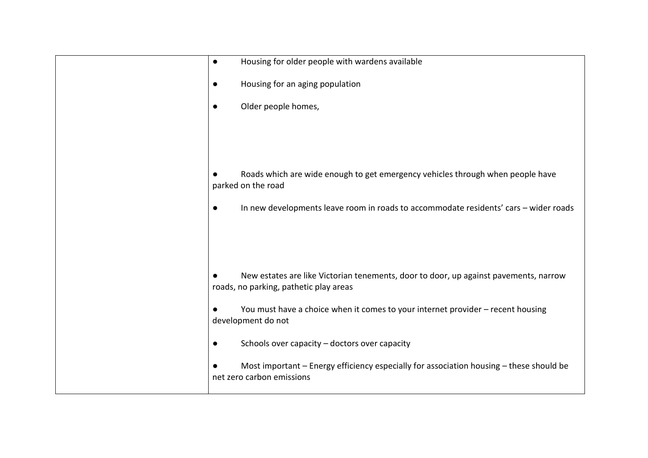| Housing for older people with wardens available<br>$\bullet$                                                                      |
|-----------------------------------------------------------------------------------------------------------------------------------|
| Housing for an aging population<br>$\bullet$                                                                                      |
| Older people homes,<br>$\bullet$                                                                                                  |
|                                                                                                                                   |
|                                                                                                                                   |
| Roads which are wide enough to get emergency vehicles through when people have<br>parked on the road                              |
| In new developments leave room in roads to accommodate residents' cars - wider roads<br>$\bullet$                                 |
|                                                                                                                                   |
|                                                                                                                                   |
| New estates are like Victorian tenements, door to door, up against pavements, narrow<br>roads, no parking, pathetic play areas    |
| You must have a choice when it comes to your internet provider - recent housing<br>development do not                             |
| Schools over capacity - doctors over capacity<br>$\bullet$                                                                        |
| Most important - Energy efficiency especially for association housing - these should be<br>$\bullet$<br>net zero carbon emissions |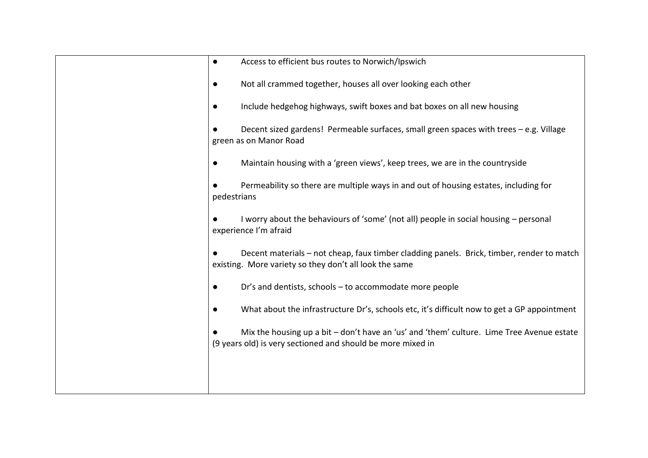| Access to efficient bus routes to Norwich/Ipswich<br>$\bullet$                                                                                           |
|----------------------------------------------------------------------------------------------------------------------------------------------------------|
| Not all crammed together, houses all over looking each other<br>$\bullet$                                                                                |
| Include hedgehog highways, swift boxes and bat boxes on all new housing<br>$\bullet$                                                                     |
| Decent sized gardens! Permeable surfaces, small green spaces with trees - e.g. Village<br>green as on Manor Road                                         |
| Maintain housing with a 'green views', keep trees, we are in the countryside<br>$\bullet$                                                                |
| Permeability so there are multiple ways in and out of housing estates, including for<br>pedestrians                                                      |
| I worry about the behaviours of 'some' (not all) people in social housing - personal<br>experience I'm afraid                                            |
| Decent materials - not cheap, faux timber cladding panels. Brick, timber, render to match<br>existing. More variety so they don't all look the same      |
| Dr's and dentists, schools - to accommodate more people<br>$\bullet$                                                                                     |
| What about the infrastructure Dr's, schools etc, it's difficult now to get a GP appointment                                                              |
| Mix the housing up a bit - don't have an 'us' and 'them' culture. Lime Tree Avenue estate<br>(9 years old) is very sectioned and should be more mixed in |
|                                                                                                                                                          |
|                                                                                                                                                          |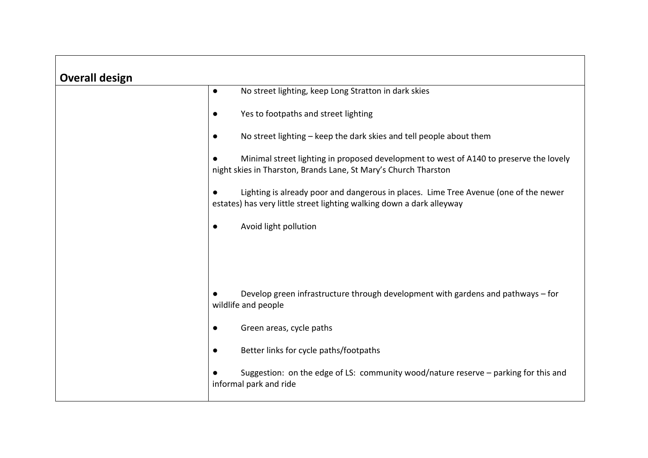| <b>Overall design</b> |                                                                                                                                                               |
|-----------------------|---------------------------------------------------------------------------------------------------------------------------------------------------------------|
|                       | No street lighting, keep Long Stratton in dark skies<br>$\bullet$                                                                                             |
|                       | Yes to footpaths and street lighting<br>$\bullet$                                                                                                             |
|                       | No street lighting – keep the dark skies and tell people about them                                                                                           |
|                       | Minimal street lighting in proposed development to west of A140 to preserve the lovely<br>night skies in Tharston, Brands Lane, St Mary's Church Tharston     |
|                       | Lighting is already poor and dangerous in places. Lime Tree Avenue (one of the newer<br>estates) has very little street lighting walking down a dark alleyway |
|                       | Avoid light pollution                                                                                                                                         |
|                       |                                                                                                                                                               |
|                       |                                                                                                                                                               |
|                       | Develop green infrastructure through development with gardens and pathways - for<br>wildlife and people                                                       |
|                       | Green areas, cycle paths                                                                                                                                      |
|                       | Better links for cycle paths/footpaths<br>$\bullet$                                                                                                           |
|                       | Suggestion: on the edge of LS: community wood/nature reserve - parking for this and<br>informal park and ride                                                 |

┑

 $\Gamma$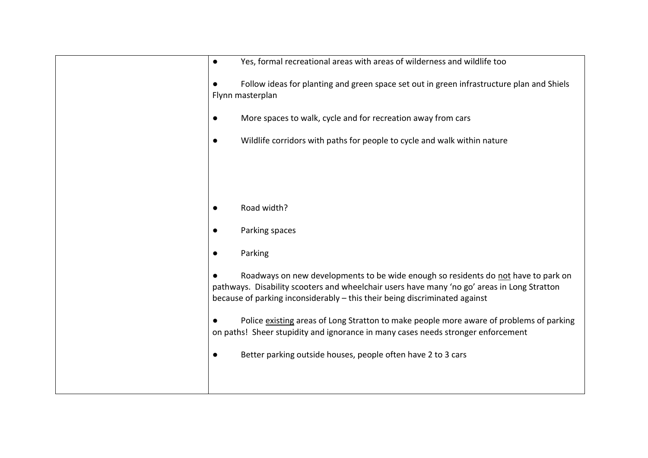| Yes, formal recreational areas with areas of wilderness and wildlife too<br>$\bullet$                                                                                                                                                                           |
|-----------------------------------------------------------------------------------------------------------------------------------------------------------------------------------------------------------------------------------------------------------------|
| Follow ideas for planting and green space set out in green infrastructure plan and Shiels<br>Flynn masterplan                                                                                                                                                   |
| More spaces to walk, cycle and for recreation away from cars                                                                                                                                                                                                    |
| Wildlife corridors with paths for people to cycle and walk within nature                                                                                                                                                                                        |
|                                                                                                                                                                                                                                                                 |
|                                                                                                                                                                                                                                                                 |
| Road width?                                                                                                                                                                                                                                                     |
| Parking spaces                                                                                                                                                                                                                                                  |
| Parking                                                                                                                                                                                                                                                         |
| Roadways on new developments to be wide enough so residents do not have to park on<br>pathways. Disability scooters and wheelchair users have many 'no go' areas in Long Stratton<br>because of parking inconsiderably - this their being discriminated against |
| Police existing areas of Long Stratton to make people more aware of problems of parking<br>on paths! Sheer stupidity and ignorance in many cases needs stronger enforcement                                                                                     |
| Better parking outside houses, people often have 2 to 3 cars                                                                                                                                                                                                    |
|                                                                                                                                                                                                                                                                 |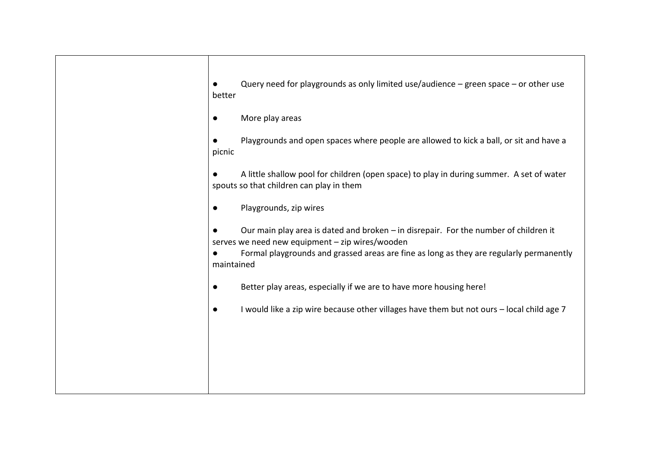| Query need for playgrounds as only limited use/audience $-$ green space $-$ or other use<br>better                                                                                                                                               |
|--------------------------------------------------------------------------------------------------------------------------------------------------------------------------------------------------------------------------------------------------|
| More play areas                                                                                                                                                                                                                                  |
| Playgrounds and open spaces where people are allowed to kick a ball, or sit and have a<br>picnic                                                                                                                                                 |
| A little shallow pool for children (open space) to play in during summer. A set of water<br>spouts so that children can play in them                                                                                                             |
| Playgrounds, zip wires<br>$\bullet$                                                                                                                                                                                                              |
| Our main play area is dated and broken – in disrepair. For the number of children it<br>serves we need new equipment - zip wires/wooden<br>Formal playgrounds and grassed areas are fine as long as they are regularly permanently<br>maintained |
| Better play areas, especially if we are to have more housing here!<br>$\bullet$                                                                                                                                                                  |
| I would like a zip wire because other villages have them but not ours - local child age 7<br>$\bullet$                                                                                                                                           |
|                                                                                                                                                                                                                                                  |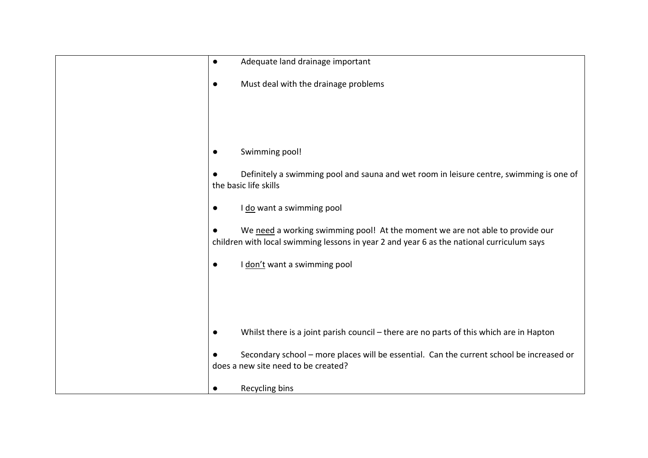| Adequate land drainage important<br>$\bullet$                                                                                                                              |
|----------------------------------------------------------------------------------------------------------------------------------------------------------------------------|
| Must deal with the drainage problems                                                                                                                                       |
|                                                                                                                                                                            |
|                                                                                                                                                                            |
|                                                                                                                                                                            |
| Swimming pool!                                                                                                                                                             |
| Definitely a swimming pool and sauna and wet room in leisure centre, swimming is one of<br>the basic life skills                                                           |
| I do want a swimming pool                                                                                                                                                  |
| We need a working swimming pool! At the moment we are not able to provide our<br>children with local swimming lessons in year 2 and year 6 as the national curriculum says |
| I don't want a swimming pool                                                                                                                                               |
|                                                                                                                                                                            |
|                                                                                                                                                                            |
|                                                                                                                                                                            |
| Whilst there is a joint parish council - there are no parts of this which are in Hapton                                                                                    |
| Secondary school - more places will be essential. Can the current school be increased or<br>does a new site need to be created?                                            |
| Recycling bins                                                                                                                                                             |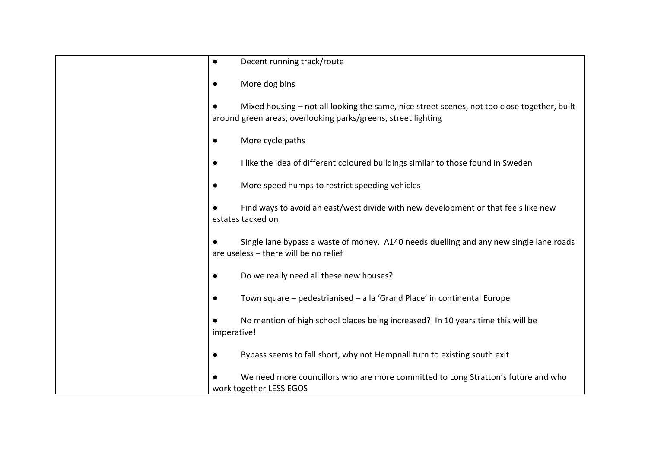| $\bullet$ | Decent running track/route                                                                                                                                   |
|-----------|--------------------------------------------------------------------------------------------------------------------------------------------------------------|
| $\bullet$ | More dog bins                                                                                                                                                |
|           | Mixed housing - not all looking the same, nice street scenes, not too close together, built<br>around green areas, overlooking parks/greens, street lighting |
| $\bullet$ | More cycle paths                                                                                                                                             |
| $\bullet$ | I like the idea of different coloured buildings similar to those found in Sweden                                                                             |
| $\bullet$ | More speed humps to restrict speeding vehicles                                                                                                               |
|           | Find ways to avoid an east/west divide with new development or that feels like new<br>estates tacked on                                                      |
|           | Single lane bypass a waste of money. A140 needs duelling and any new single lane roads<br>are useless - there will be no relief                              |
| $\bullet$ | Do we really need all these new houses?                                                                                                                      |
| $\bullet$ | Town square - pedestrianised - a la 'Grand Place' in continental Europe                                                                                      |
|           | No mention of high school places being increased? In 10 years time this will be<br>imperative!                                                               |
| $\bullet$ | Bypass seems to fall short, why not Hempnall turn to existing south exit                                                                                     |
|           | We need more councillors who are more committed to Long Stratton's future and who<br>work together LESS EGOS                                                 |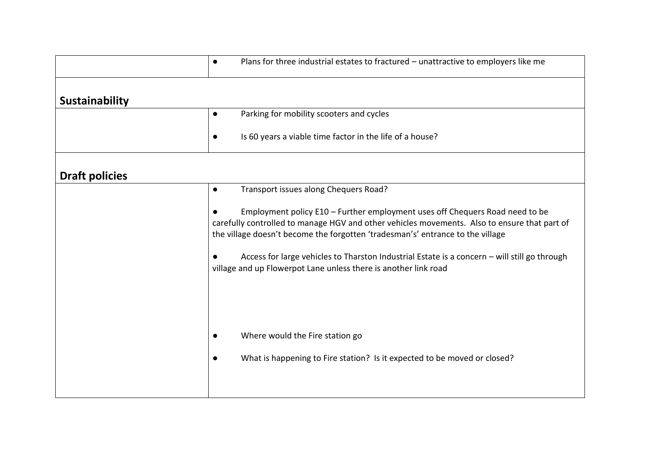|                       | Plans for three industrial estates to fractured - unattractive to employers like me<br>$\bullet$                                                                                                                                                               |
|-----------------------|----------------------------------------------------------------------------------------------------------------------------------------------------------------------------------------------------------------------------------------------------------------|
| <b>Sustainability</b> |                                                                                                                                                                                                                                                                |
|                       | Parking for mobility scooters and cycles<br>$\bullet$                                                                                                                                                                                                          |
|                       | Is 60 years a viable time factor in the life of a house?<br>$\bullet$                                                                                                                                                                                          |
| <b>Draft policies</b> |                                                                                                                                                                                                                                                                |
|                       | Transport issues along Chequers Road?<br>$\bullet$                                                                                                                                                                                                             |
|                       | Employment policy E10 - Further employment uses off Chequers Road need to be<br>carefully controlled to manage HGV and other vehicles movements. Also to ensure that part of<br>the village doesn't become the forgotten 'tradesman's' entrance to the village |
|                       | Access for large vehicles to Tharston Industrial Estate is a concern - will still go through<br>village and up Flowerpot Lane unless there is another link road                                                                                                |
|                       |                                                                                                                                                                                                                                                                |
|                       | Where would the Fire station go<br>$\bullet$                                                                                                                                                                                                                   |
|                       | What is happening to Fire station? Is it expected to be moved or closed?<br>$\bullet$                                                                                                                                                                          |
|                       |                                                                                                                                                                                                                                                                |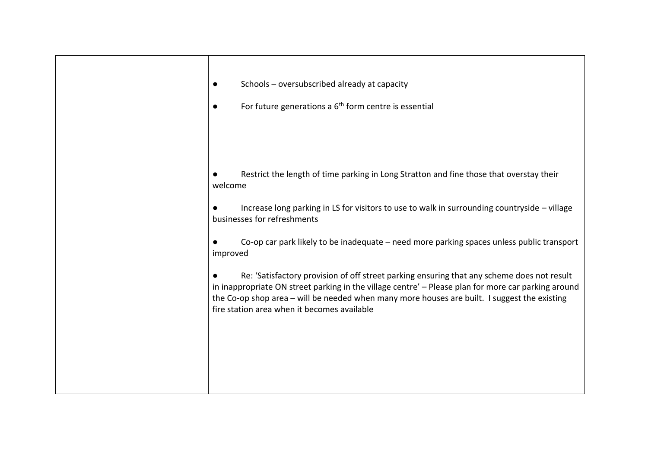| Schools - oversubscribed already at capacity<br>For future generations a $6th$ form centre is essential                                                                                                                                                                                                                                                      |
|--------------------------------------------------------------------------------------------------------------------------------------------------------------------------------------------------------------------------------------------------------------------------------------------------------------------------------------------------------------|
| Restrict the length of time parking in Long Stratton and fine those that overstay their<br>welcome<br>Increase long parking in LS for visitors to use to walk in surrounding countryside - village<br>businesses for refreshments<br>Co-op car park likely to be inadequate - need more parking spaces unless public transport                               |
| improved<br>Re: 'Satisfactory provision of off street parking ensuring that any scheme does not result<br>in inappropriate ON street parking in the village centre' - Please plan for more car parking around<br>the Co-op shop area - will be needed when many more houses are built. I suggest the existing<br>fire station area when it becomes available |
|                                                                                                                                                                                                                                                                                                                                                              |